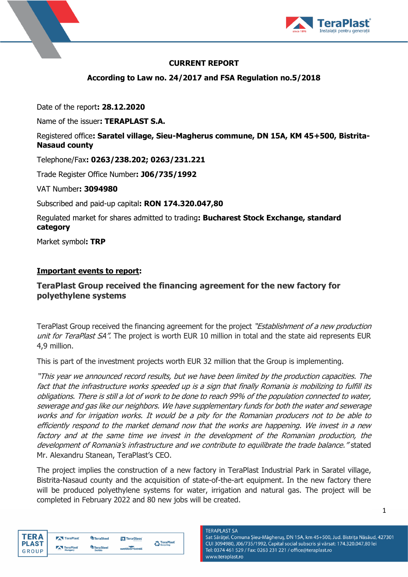



# **CURRENT REPORT**

**According to Law no. 24/2017 and FSA Regulation no.5/2018**

Date of the report**: 28.12.2020**

Name of the issuer**: TERAPLAST S.A.**

# Registered office**: Saratel village, Sieu-Magherus commune, DN 15A, KM 45+500, Bistrita-Nasaud county**

Telephone/Fax**: 0263/238.202; 0263/231.221**

Trade Register Office Number**: J06/735/1992**

VAT Number**: 3094980**

Subscribed and paid-up capital**: RON 174.320.047,80**

Regulated market for shares admitted to trading**: Bucharest Stock Exchange, standard category**

Market symbol**: TRP**

### **Important events to report:**

# **TeraPlast Group received the financing agreement for the new factory for polyethylene systems**

TeraPlast Group received the financing agreement for the project "*Establishment of a new production* unit for TeraPlast SA". The project is worth EUR 10 million in total and the state aid represents EUR 4,9 million.

This is part of the investment projects worth EUR 32 million that the Group is implementing.

"This year we announced record results, but we have been limited by the production capacities. The fact that the infrastructure works speeded up is a sign that finally Romania is mobilizing to fulfill its obligations. There is still a lot of work to be done to reach 99% of the population connected to water, sewerage and gas like our neighbors. We have supplementary funds for both the water and sewerage works and for irrigation works. It would be a pity for the Romanian producers not to be able to efficiently respond to the market demand now that the works are happening. We invest in a new factory and at the same time we invest in the development of the Romanian production, the development of Romania's infrastructure and we contribute to equilibrate the trade balance." stated Mr. Alexandru Stanean, TeraPlast's CEO.

The project implies the construction of a new factory in TeraPlast Industrial Park in Saratel village, Bistrita-Nasaud county and the acquisition of state-of-the-art equipment. In the new factory there will be produced polyethylene systems for water, irrigation and natural gas. The project will be completed in February 2022 and 80 new jobs will be created.

| TFRA         | TeraPlast | <b>TeraSteel</b> | TeraGlass  | TeraPlast |  |
|--------------|-----------|------------------|------------|-----------|--|
| <b>PLAST</b> | TeraPlast | <b>TeraSteel</b> |            | Recycling |  |
| GROUP        | Hungary   | <b>Serbia</b>    | wetterbest |           |  |

**TERAPLAST SA** Sat Sărățel, Comuna Șieu-Măgheruș, DN 15A, km 45+500, Jud. Bistrița Năsăud, 427301 CUI 3094980, J06/735/1992, Capital social subscris și vărsat: 174.320.047,80 lei Tel: 0374 461 529 / Fax: 0263 231 221 / office@teraplast.ro www.teraplast.ro